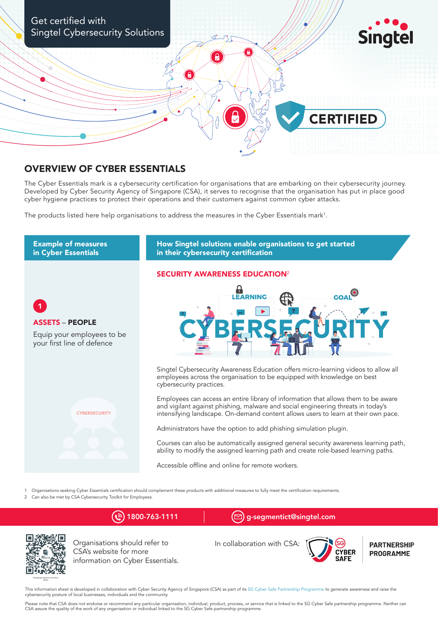

## OVERVIEW OF CYBER ESSENTIALS

The Cyber Essentials mark is a cybersecurity certification for organisations that are embarking on their cybersecurity journey. Developed by Cyber Security Agency of Singapore (CSA), it serves to recognise that the organisation has put in place good cyber hygiene practices to protect their operations and their customers against common cyber attacks.

The products listed here help organisations to address the measures in the Cyber Essentials mark<sup>1</sup>.



1 Organisations seeking Cyber Essentials certification should complement these products with additional measures to fully meet the certification requirements.

2 Can also be met by CSA Cybersecurity Toolkit for Employees.



Organisations should refer to CSA's website for more information on Cyber Essentials. In collaboration with CSA:



**PARTNERSHIP PROGRAMME** 

This information sheet is developed in collaboration with Cyber Security Agency of Singapore (CSA) as part of its [SG Cyber Safe Partnership Programme](https://www.csa.gov.sg/sgcybersafe?utm_source=csa&utm_medium=partners&utm_campaign=marks) to generate awareness and raise the cybersecurity posture of local businesses, individuals and the community.

Please note that CSA does not endorse or recommend any particular organisation, individual, product, process, or service that is linked to the SG Cyber Safe partnership programme. Neither can CSA assure the quality of the work of any organisation or individual linked to the SG Cyber Safe partnership programme.

 $(\mathcal{C})$  1800-763-1111  $[\mathbb{C}]$  g-segmentict@singtel.com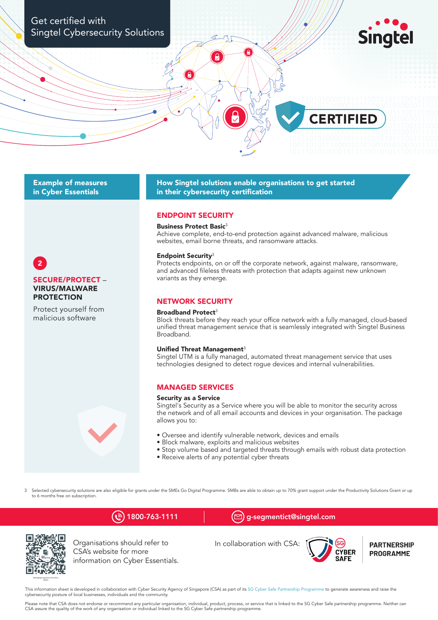

## **Example of measures** in Cyber Essentials

How Singtel solutions enable organisations to get started in their cybersecurity certification

## **ENDPOINT SECURITY**

#### **Business Protect Basic<sup>3</sup>**

Achieve complete, end-to-end protection against advanced malware, malicious websites, email borne threats, and ransomware attacks.

#### **Endpoint Security<sup>3</sup>**

Protects endpoints, on or off the corporate network, against malware, ransomware, and advanced fileless threats with protection that adapts against new unknown variants as they emerge.

### **NETWORK SECURITY**

#### Broadband Protect<sup>3</sup>

Block threats before they reach your office network with a fully managed, cloud-based unified threat management service that is seamlessly integrated with Singtel Business Broadband.

#### Unified Threat Management<sup>3</sup>

Singtel UTM is a fully managed, automated threat management service that uses technologies designed to detect roque devices and internal vulnerabilities.

## **MANAGED SERVICES**

#### **Security as a Service**

Singtel's Security as a Service where you will be able to monitor the security across the network and of all email accounts and devices in your organisation. The package allows you to:

- · Oversee and identify vulnerable network, devices and emails
- · Block malware, exploits and malicious websites
- Stop volume based and targeted threats through emails with robust data protection
- Receive alerts of any potential cyber threats

Selected cybersecurity solutions are also eligible for grants under the SMEs Go Digital Programme. SMBs are able to obtain up to 70% grant support under the Productivity Solutions Grant or up  $\overline{a}$ to 6 months free on subscription

# $\binom{5}{2}$  1800-763-1111

 $(\boxdot)$  g-segmentict@singtel.com



Organisations should refer to CSA's website for more information on Cyber Essentials.





**PARTNERSHIP PROGRAMME** 

This information sheet is developed in collaboration with Cyber Security Agency of Singapore (CSA) as part of its SG Cyber Safe Partnership Programme to generate awareness and raise the cybersecurity posture of local businesses, individuals and the community.

Please note that CSA does not endorse or recommend any particular organisation, individual, product, process, or service that is linked to the SG Cyber Safe partnership programme. Neither can CSA assure the quality of the work of any organisation or individual linked to the SG Cyber Safe partnership programme.



## Protect yourself from malicious software

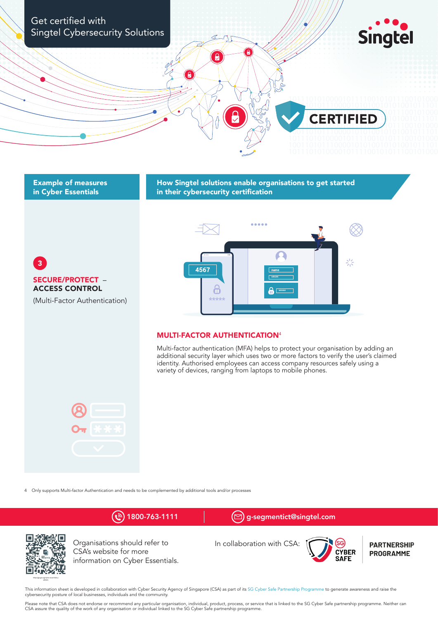

## **Example of measures** in Cyber Essentials

How Singtel solutions enable organisations to get started in their cybersecurity certification

 $\overline{3}$ SECURE/PROTECT -**ACCESS CONTROL** (Multi-Factor Authentication)



## **MULTI-FACTOR AUTHENTICATION4**

Multi-factor authentication (MFA) helps to protect your organisation by adding an additional security layer which uses two or more factors to verify the user's claimed identity. Authorised employees can access company resources safely using a variety of devices, ranging from laptops to mobile phones.



4 Only supports Multi-factor Authentication and needs to be complemented by additional tools and/or processes



This information sheet is developed in collaboration with Cyber Security Agency of Singapore (CSA) as part of its SG Cyber Safe Partnership Programme to generate awareness and raise the cybersecurity posture of local businesses, individuals and the community.

Please note that CSA does not endorse or recommend any particular organisation, individual, product, process, or service that is linked to the SG Cyber Safe partnership programme. Neither can CSA assure the quality of the work of any organisation or individual linked to the SG Cyber Safe partnership programme.